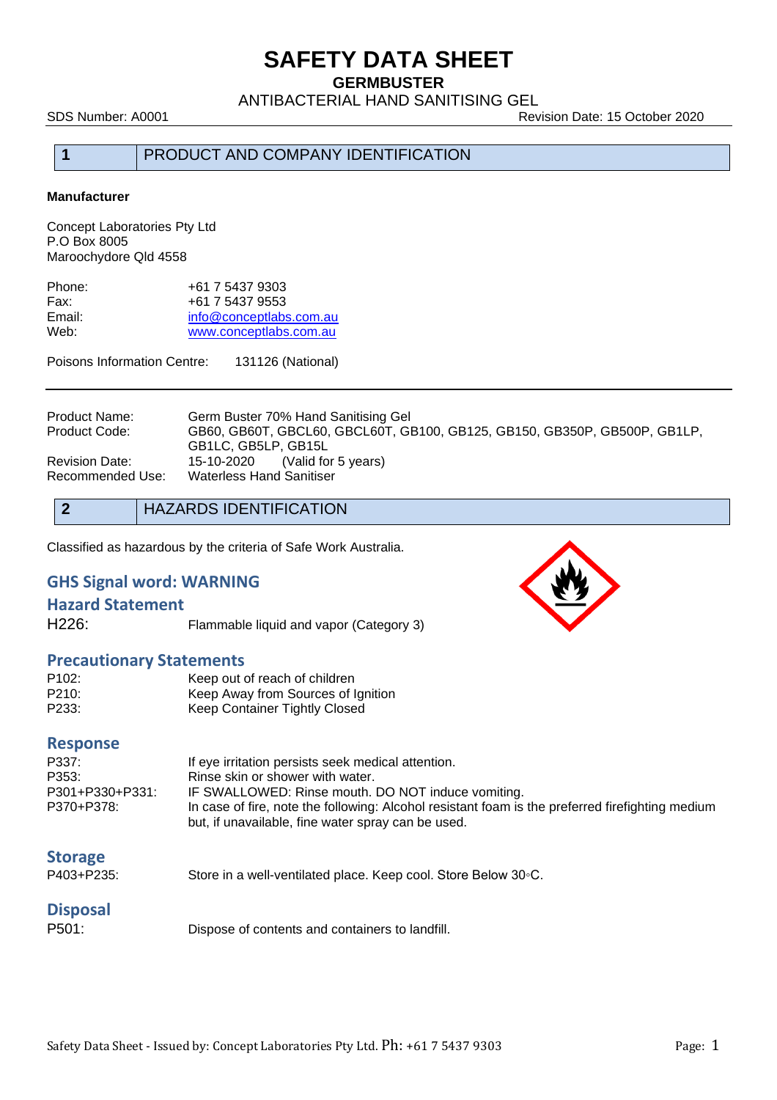**GERMBUSTER**

ANTIBACTERIAL HAND SANITISING GEL

SDS Number: A0001 Revision Date: 15 October 2020

### **1** PRODUCT AND COMPANY IDENTIFICATION

#### **Manufacturer**

Concept Laboratories Pty Ltd P.O Box 8005 Maroochydore Qld 4558

| +61 7 5437 9303         |
|-------------------------|
| +61 7 5437 9553         |
| info@conceptlabs.com.au |
| www.conceptlabs.com.au  |
|                         |

Poisons Information Centre: 131126 (National)

| <b>Product Name:</b><br>Product Code: | Germ Buster 70% Hand Sanitising Gel<br>GB60, GB60T, GBCL60, GBCL60T, GB100, GB125, GB150, GB350P, GB500P, GB1LP,<br>GB1LC, GB5LP, GB15L |
|---------------------------------------|-----------------------------------------------------------------------------------------------------------------------------------------|
| <b>Revision Date:</b>                 | 15-10-2020 (Valid for 5 years)                                                                                                          |
| Recommended Use:                      | <b>Waterless Hand Sanitiser</b>                                                                                                         |

### **2** HAZARDS IDENTIFICATION

Classified as hazardous by the criteria of Safe Work Australia.

### **GHS Signal word: WARNING**

### **Hazard Statement**

H226: Flammable liquid and vapor (Category 3)

### **Precautionary Statements**

| P <sub>102</sub> : | Keep out of reach of children      |
|--------------------|------------------------------------|
| P210:              | Keep Away from Sources of Ignition |
| P233:              | Keep Container Tightly Closed      |

### **Response**

| P337:           | If eye irritation persists seek medical attention.                                               |
|-----------------|--------------------------------------------------------------------------------------------------|
| P353:           | Rinse skin or shower with water.                                                                 |
| P301+P330+P331: | IF SWALLOWED: Rinse mouth. DO NOT induce vomiting.                                               |
| P370+P378:      | In case of fire, note the following: Alcohol resistant foam is the preferred firefighting medium |
|                 | but, if unavailable, fine water spray can be used.                                               |

Store in a well-ventilated place. Keep cool. Store Below 30◦C.

## **Disposal**

P501: Dispose of contents and containers to landfill.

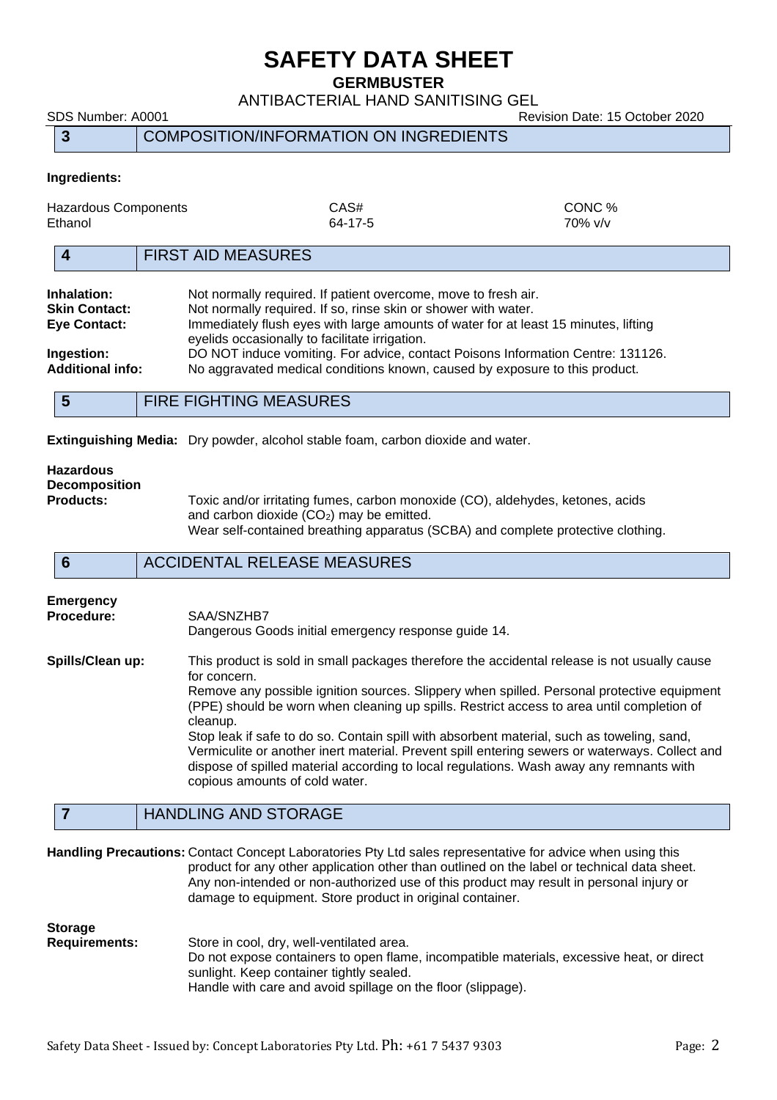**GERMBUSTER**

ANTIBACTERIAL HAND SANITISING GEL

SDS Number: A0001 Revision Date: 15 October 2020

**3** COMPOSITION/INFORMATION ON INGREDIENTS

### **Ingredients:**

| Hazardous Components<br>Ethanol     |                                                                                                                                  | CAS#<br>64-17-5 | CONC %<br>$70\%$ v/v                                                                |
|-------------------------------------|----------------------------------------------------------------------------------------------------------------------------------|-----------------|-------------------------------------------------------------------------------------|
|                                     | <b>FIRST AID MEASURES</b>                                                                                                        |                 |                                                                                     |
| Inhalation:<br><b>Skin Contact:</b> | Not normally required. If patient overcome, move to fresh air.<br>Not normally required. If so, rinse skin or shower with water. |                 |                                                                                     |
| <b>Eye Contact:</b>                 | eyelids occasionally to facilitate irrigation.                                                                                   |                 | Immediately flush eyes with large amounts of water for at least 15 minutes, lifting |
| Ingestion:                          | DO NOT induce vomiting. For advice, contact Poisons Information Centre: 131126.                                                  |                 |                                                                                     |
| <b>Additional info:</b>             |                                                                                                                                  |                 | No aggravated medical conditions known, caused by exposure to this product.         |
|                                     | FIBE FIALITING NE LAUBEA                                                                                                         |                 |                                                                                     |

**5** FIRE FIGHTING MEASURES

**Extinguishing Media:** Dry powder, alcohol stable foam, carbon dioxide and water.

### **Hazardous Decomposition**

Toxic and/or irritating fumes, carbon monoxide (CO), aldehydes, ketones, acids and carbon dioxide  $(CO<sub>2</sub>)$  may be emitted. Wear self-contained breathing apparatus (SCBA) and complete protective clothing.

### **6** ACCIDENTAL RELEASE MEASURES

## **Emergency Procedure:** SAA/SNZHB7

Dangerous Goods initial emergency response guide 14.

**Spills/Clean up:** This product is sold in small packages therefore the accidental release is not usually cause for concern. Remove any possible ignition sources. Slippery when spilled. Personal protective equipment (PPE) should be worn when cleaning up spills. Restrict access to area until completion of cleanup. Stop leak if safe to do so. Contain spill with absorbent material, such as toweling, sand, Vermiculite or another inert material. Prevent spill entering sewers or waterways. Collect and dispose of spilled material according to local regulations. Wash away any remnants with

### **7** HANDLING AND STORAGE

**Handling Precautions:** Contact Concept Laboratories Pty Ltd sales representative for advice when using this product for any other application other than outlined on the label or technical data sheet. Any non-intended or non-authorized use of this product may result in personal injury or damage to equipment. Store product in original container.

### **Storage**

**Requirements:** Store in cool, dry, well-ventilated area. Do not expose containers to open flame, incompatible materials, excessive heat, or direct sunlight. Keep container tightly sealed. Handle with care and avoid spillage on the floor (slippage).

copious amounts of cold water.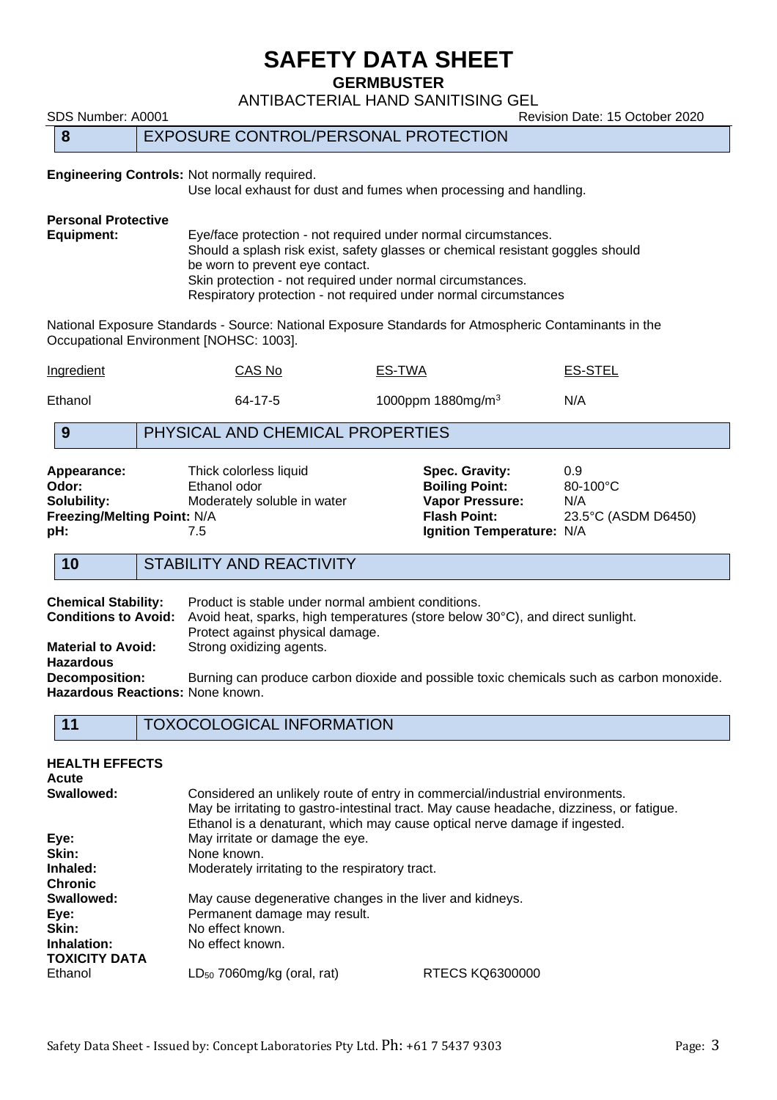**GERMBUSTER**

ANTIBACTERIAL HAND SANITISING GEL

SDS Number: A0001 80001 Revision Date: 15 October 2020

### **8** EXPOSURE CONTROL/PERSONAL PROTECTION

#### **Engineering Controls:** Not normally required.

Use local exhaust for dust and fumes when processing and handling.

# **Personal Protective**

Eye/face protection - not required under normal circumstances. Should a splash risk exist, safety glasses or chemical resistant goggles should be worn to prevent eye contact. Skin protection - not required under normal circumstances. Respiratory protection - not required under normal circumstances

National Exposure Standards - Source: National Exposure Standards for Atmospheric Contaminants in the Occupational Environment [NOHSC: 1003].

| Ingredient | CAS No  | ES-TWA                        | ES-STEL |
|------------|---------|-------------------------------|---------|
| Ethanol    | 64-17-5 | 1000ppm 1880mg/m <sup>3</sup> | N/A     |

### **9** PHYSICAL AND CHEMICAL PROPERTIES

| Appearance:                        | Thick colorless liquid      |  |  |
|------------------------------------|-----------------------------|--|--|
| Odor:                              | Ethanol odor                |  |  |
| Solubility:                        | Moderately soluble in water |  |  |
| <b>Freezing/Melting Point: N/A</b> |                             |  |  |
| pH:                                | 7.5                         |  |  |

**Spec. Gravity:** 0.9<br> **Boiling Point:** 80-100°C **Boiling Point: Vapor Pressure:** N/A **Flash Point:** 23.5°C (ASDM D6450) **lgnition Temperature: N/A** 

### **10** STABILITY AND REACTIVITY

**Chemical Stability:** Product is stable under normal ambient conditions.<br>**Conditions to Avoid:** Avoid heat, sparks, high temperatures (store below Avoid heat, sparks, high temperatures (store below 30°C), and direct sunlight. Protect against physical damage. **Material to Avoid:** Strong oxidizing agents. **Hazardous Decomposition:** Burning can produce carbon dioxide and possible toxic chemicals such as carbon monoxide. **Hazardous Reactions:** None known.

| 11 | <b>TOXOCOLOGICAL INFORMATION</b> |
|----|----------------------------------|
|----|----------------------------------|

| <b>HEALTH EFFECTS</b><br>Acute      |                                                                                                                                                            |                                                                                          |
|-------------------------------------|------------------------------------------------------------------------------------------------------------------------------------------------------------|------------------------------------------------------------------------------------------|
| Swallowed:                          | Considered an unlikely route of entry in commercial/industrial environments.<br>Ethanol is a denaturant, which may cause optical nerve damage if ingested. | May be irritating to gastro-intestinal tract. May cause headache, dizziness, or fatigue. |
| Eye:                                | May irritate or damage the eye.                                                                                                                            |                                                                                          |
| Skin:                               | None known.                                                                                                                                                |                                                                                          |
| Inhaled:                            | Moderately irritating to the respiratory tract.                                                                                                            |                                                                                          |
| <b>Chronic</b>                      |                                                                                                                                                            |                                                                                          |
| Swallowed:                          | May cause degenerative changes in the liver and kidneys.                                                                                                   |                                                                                          |
| Eye:                                | Permanent damage may result.                                                                                                                               |                                                                                          |
| Skin:                               | No effect known.                                                                                                                                           |                                                                                          |
| Inhalation:<br><b>TOXICITY DATA</b> | No effect known.                                                                                                                                           |                                                                                          |
| Ethanol                             | $LD_{50}$ 7060mg/kg (oral, rat)                                                                                                                            | RTECS KQ6300000                                                                          |